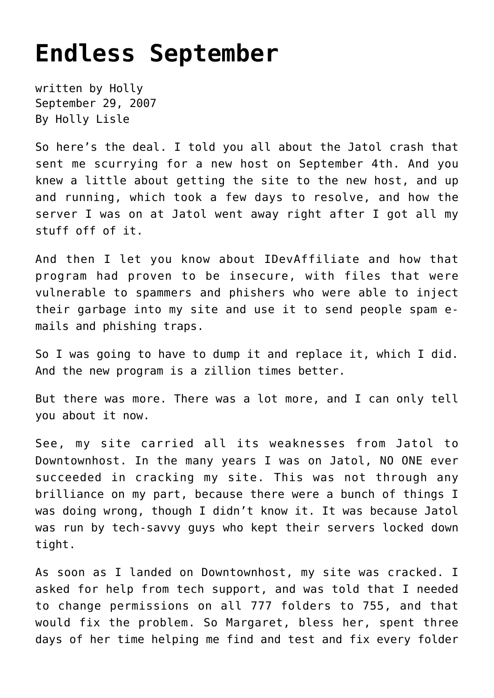## **[Endless September](https://hollylisle.com/endless-september/)**

written by Holly September 29, 2007 [By Holly Lisle](https://hollylisle.com)

So here's the deal. I told you all about the Jatol crash that sent me scurrying for a new host on September 4th. And you knew a little about getting the site to the new host, and up and running, which took a few days to resolve, and how the server I was on at Jatol went away right after I got all my stuff off of it.

And then I let you know about IDevAffiliate and how that program had proven to be insecure, with files that were vulnerable to spammers and phishers who were able to inject their garbage into my site and use it to send people spam emails and phishing traps.

So I was going to have to dump it and replace it, which I did. And the new program is a zillion times better.

But there was more. There was a lot more, and I can only tell you about it now.

See, my site carried all its weaknesses from Jatol to Downtownhost. In the many years I was on Jatol, NO ONE ever succeeded in cracking my site. This was not through any brilliance on my part, because there were a bunch of things I was doing wrong, though I didn't know it. It was because Jatol was run by tech-savvy guys who kept their servers locked down tight.

As soon as I landed on Downtownhost, my site was cracked. I asked for help from tech support, and was told that I needed to change permissions on all 777 folders to 755, and that would fix the problem. So Margaret, bless her, spent three days of her time helping me find and test and fix every folder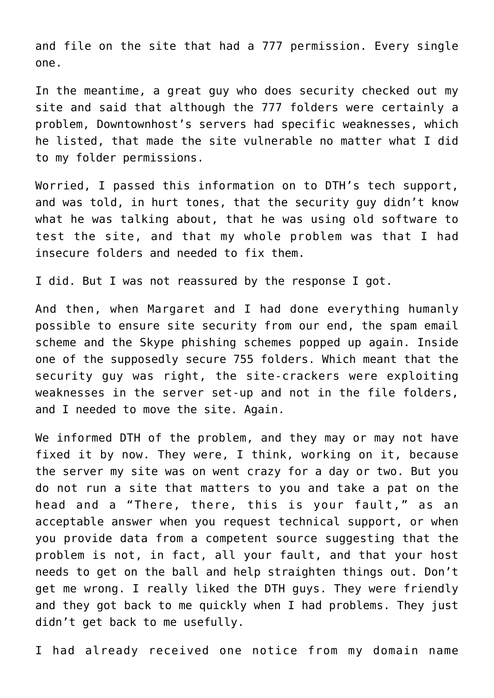and file on the site that had a 777 permission. Every single one.

In the meantime, a great guy who does security checked out my site and said that although the 777 folders were certainly a problem, Downtownhost's servers had specific weaknesses, which he listed, that made the site vulnerable no matter what I did to my folder permissions.

Worried, I passed this information on to DTH's tech support, and was told, in hurt tones, that the security guy didn't know what he was talking about, that he was using old software to test the site, and that my whole problem was that I had insecure folders and needed to fix them.

I did. But I was not reassured by the response I got.

And then, when Margaret and I had done everything humanly possible to ensure site security from our end, the spam email scheme and the Skype phishing schemes popped up again. Inside one of the supposedly secure 755 folders. Which meant that the security guy was right, the site-crackers were exploiting weaknesses in the server set-up and not in the file folders, and I needed to move the site. Again.

We informed DTH of the problem, and they may or may not have fixed it by now. They were, I think, working on it, because the server my site was on went crazy for a day or two. But you do not run a site that matters to you and take a pat on the head and a "There, there, this is your fault," as an acceptable answer when you request technical support, or when you provide data from a competent source suggesting that the problem is not, in fact, all your fault, and that your host needs to get on the ball and help straighten things out. Don't get me wrong. I really liked the DTH guys. They were friendly and they got back to me quickly when I had problems. They just didn't get back to me usefully.

I had already received one notice from my domain name